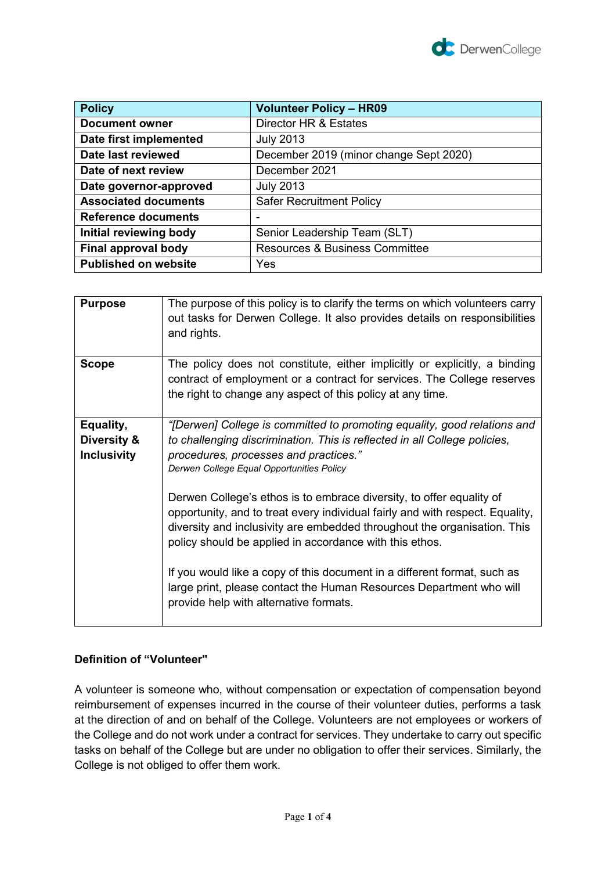

| <b>Policy</b>               | <b>Volunteer Policy - HR09</b>            |
|-----------------------------|-------------------------------------------|
| <b>Document owner</b>       | Director HR & Estates                     |
| Date first implemented      | <b>July 2013</b>                          |
| Date last reviewed          | December 2019 (minor change Sept 2020)    |
| Date of next review         | December 2021                             |
| Date governor-approved      | <b>July 2013</b>                          |
| <b>Associated documents</b> | <b>Safer Recruitment Policy</b>           |
| <b>Reference documents</b>  |                                           |
| Initial reviewing body      | Senior Leadership Team (SLT)              |
| Final approval body         | <b>Resources &amp; Business Committee</b> |
| <b>Published on website</b> | Yes                                       |

| <b>Purpose</b>                                 | The purpose of this policy is to clarify the terms on which volunteers carry<br>out tasks for Derwen College. It also provides details on responsibilities<br>and rights.                                                                                                                                                                                                                                                                                                                                                                                                                                                                                                                                                                |
|------------------------------------------------|------------------------------------------------------------------------------------------------------------------------------------------------------------------------------------------------------------------------------------------------------------------------------------------------------------------------------------------------------------------------------------------------------------------------------------------------------------------------------------------------------------------------------------------------------------------------------------------------------------------------------------------------------------------------------------------------------------------------------------------|
| <b>Scope</b>                                   | The policy does not constitute, either implicitly or explicitly, a binding<br>contract of employment or a contract for services. The College reserves<br>the right to change any aspect of this policy at any time.                                                                                                                                                                                                                                                                                                                                                                                                                                                                                                                      |
| Equality,<br>Diversity &<br><b>Inclusivity</b> | "[Derwen] College is committed to promoting equality, good relations and<br>to challenging discrimination. This is reflected in all College policies,<br>procedures, processes and practices."<br>Derwen College Equal Opportunities Policy<br>Derwen College's ethos is to embrace diversity, to offer equality of<br>opportunity, and to treat every individual fairly and with respect. Equality,<br>diversity and inclusivity are embedded throughout the organisation. This<br>policy should be applied in accordance with this ethos.<br>If you would like a copy of this document in a different format, such as<br>large print, please contact the Human Resources Department who will<br>provide help with alternative formats. |

# **Definition of "Volunteer"**

A volunteer is someone who, without compensation or expectation of compensation beyond reimbursement of expenses incurred in the course of their volunteer duties, performs a task at the direction of and on behalf of the College. Volunteers are not employees or workers of the College and do not work under a contract for services. They undertake to carry out specific tasks on behalf of the College but are under no obligation to offer their services. Similarly, the College is not obliged to offer them work.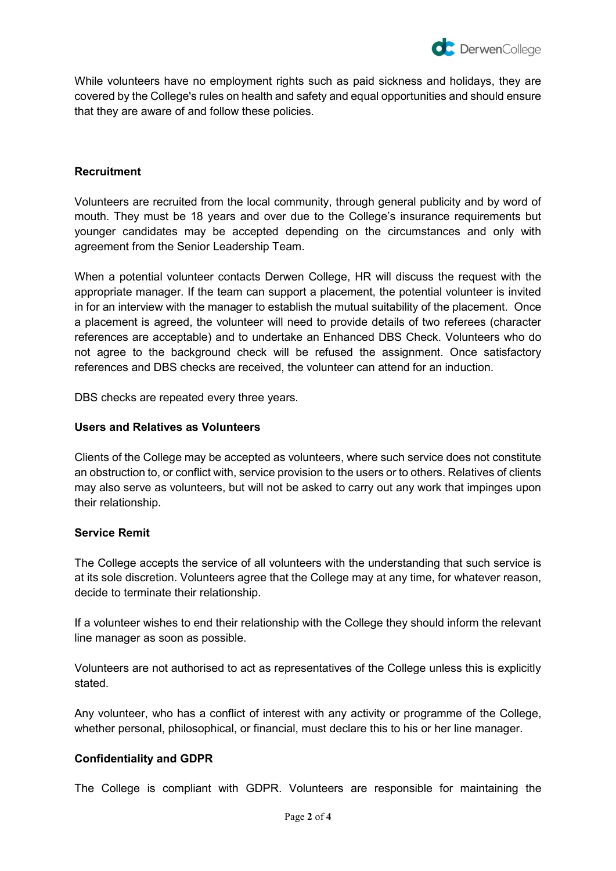

While volunteers have no employment rights such as paid sickness and holidays, they are covered by the College's rules on health and safety and equal opportunities and should ensure that they are aware of and follow these policies.

### **Recruitment**

Volunteers are recruited from the local community, through general publicity and by word of mouth. They must be 18 years and over due to the College's insurance requirements but younger candidates may be accepted depending on the circumstances and only with agreement from the Senior Leadership Team.

When a potential volunteer contacts Derwen College, HR will discuss the request with the appropriate manager. If the team can support a placement, the potential volunteer is invited in for an interview with the manager to establish the mutual suitability of the placement. Once a placement is agreed, the volunteer will need to provide details of two referees (character references are acceptable) and to undertake an Enhanced DBS Check. Volunteers who do not agree to the background check will be refused the assignment. Once satisfactory references and DBS checks are received, the volunteer can attend for an induction.

DBS checks are repeated every three years.

#### **Users and Relatives as Volunteers**

Clients of the College may be accepted as volunteers, where such service does not constitute an obstruction to, or conflict with, service provision to the users or to others. Relatives of clients may also serve as volunteers, but will not be asked to carry out any work that impinges upon their relationship.

### **Service Remit**

The College accepts the service of all volunteers with the understanding that such service is at its sole discretion. Volunteers agree that the College may at any time, for whatever reason, decide to terminate their relationship.

If a volunteer wishes to end their relationship with the College they should inform the relevant line manager as soon as possible.

Volunteers are not authorised to act as representatives of the College unless this is explicitly stated.

Any volunteer, who has a conflict of interest with any activity or programme of the College, whether personal, philosophical, or financial, must declare this to his or her line manager.

### **Confidentiality and GDPR**

The College is compliant with GDPR. Volunteers are responsible for maintaining the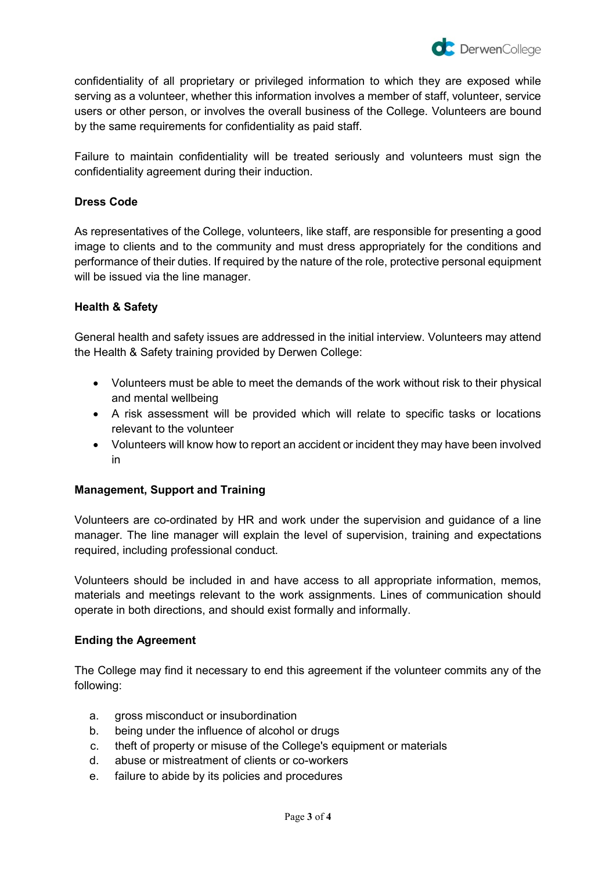

confidentiality of all proprietary or privileged information to which they are exposed while serving as a volunteer, whether this information involves a member of staff, volunteer, service users or other person, or involves the overall business of the College. Volunteers are bound by the same requirements for confidentiality as paid staff.

Failure to maintain confidentiality will be treated seriously and volunteers must sign the confidentiality agreement during their induction.

## **Dress Code**

As representatives of the College, volunteers, like staff, are responsible for presenting a good image to clients and to the community and must dress appropriately for the conditions and performance of their duties. If required by the nature of the role, protective personal equipment will be issued via the line manager.

## **Health & Safety**

General health and safety issues are addressed in the initial interview. Volunteers may attend the Health & Safety training provided by Derwen College:

- Volunteers must be able to meet the demands of the work without risk to their physical and mental wellbeing
- A risk assessment will be provided which will relate to specific tasks or locations relevant to the volunteer
- Volunteers will know how to report an accident or incident they may have been involved in

### **Management, Support and Training**

Volunteers are co-ordinated by HR and work under the supervision and guidance of a line manager. The line manager will explain the level of supervision, training and expectations required, including professional conduct.

Volunteers should be included in and have access to all appropriate information, memos, materials and meetings relevant to the work assignments. Lines of communication should operate in both directions, and should exist formally and informally.

### **Ending the Agreement**

The College may find it necessary to end this agreement if the volunteer commits any of the following:

- a. gross misconduct or insubordination
- b. being under the influence of alcohol or drugs
- c. theft of property or misuse of the College's equipment or materials
- d. abuse or mistreatment of clients or co-workers
- e. failure to abide by its policies and procedures